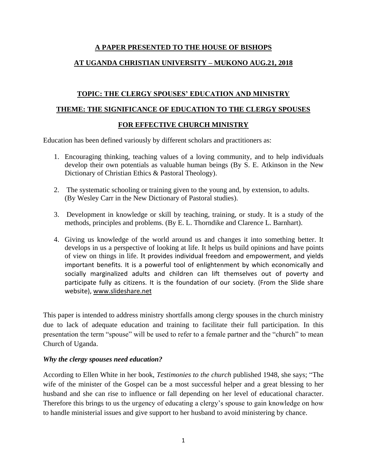# **A PAPER PRESENTED TO THE HOUSE OF BISHOPS**

# **AT UGANDA CHRISTIAN UNIVERSITY – MUKONO AUG.21, 2018**

# **TOPIC: THE CLERGY SPOUSES' EDUCATION AND MINISTRY**

### **THEME: THE SIGNIFICANCE OF EDUCATION TO THE CLERGY SPOUSES**

# **FOR EFFECTIVE CHURCH MINISTRY**

Education has been defined variously by different scholars and practitioners as:

- 1. Encouraging thinking, teaching values of a loving community, and to help individuals develop their own potentials as valuable human beings (By S. E. Atkinson in the New Dictionary of Christian Ethics & Pastoral Theology).
- 2. The systematic schooling or training given to the young and, by extension, to adults. (By Wesley Carr in the New Dictionary of Pastoral studies).
- 3. Development in knowledge or skill by teaching, training, or study. It is a study of the methods, principles and problems. (By E. L. Thorndike and Clarence L. Barnhart).
- 4. Giving us knowledge of the world around us and changes it into something better. It develops in us a perspective of looking at life. It helps us build opinions and have points of view on things in life. It provides individual freedom and empowerment, and yields important benefits. It is a powerful tool of enlightenment by which economically and socially marginalized adults and children can lift themselves out of poverty and participate fully as citizens. It is the foundation of our society. (From the Slide share website)[, www.slideshare.net](http://www.slideshare.net/)

This paper is intended to address ministry shortfalls among clergy spouses in the church ministry due to lack of adequate education and training to facilitate their full participation. In this presentation the term "spouse" will be used to refer to a female partner and the "church" to mean Church of Uganda.

# *Why the clergy spouses need education?*

According to Ellen White in her book, *Testimonies to the church* published 1948, she says; "The wife of the minister of the Gospel can be a most successful helper and a great blessing to her husband and she can rise to influence or fall depending on her level of educational character. Therefore this brings to us the urgency of educating a clergy's spouse to gain knowledge on how to handle ministerial issues and give support to her husband to avoid ministering by chance.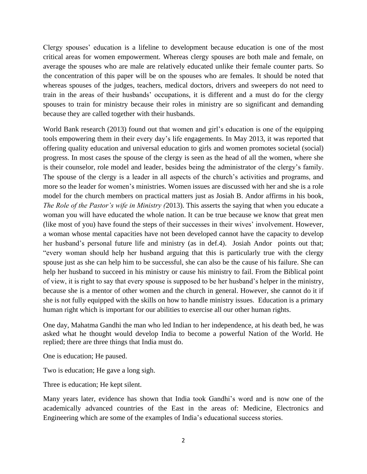Clergy spouses' education is a lifeline to development because education is one of the most critical areas for women empowerment. Whereas clergy spouses are both male and female, on average the spouses who are male are relatively educated unlike their female counter parts. So the concentration of this paper will be on the spouses who are females. It should be noted that whereas spouses of the judges, teachers, medical doctors, drivers and sweepers do not need to train in the areas of their husbands' occupations, it is different and a must do for the clergy spouses to train for ministry because their roles in ministry are so significant and demanding because they are called together with their husbands.

World Bank research (2013) found out that women and girl's education is one of the equipping tools empowering them in their every day's life engagements. In May 2013, it was reported that offering quality education and universal education to girls and women promotes societal (social) progress. In most cases the spouse of the clergy is seen as the head of all the women, where she is their counselor, role model and leader, besides being the administrator of the clergy's family. The spouse of the clergy is a leader in all aspects of the church's activities and programs, and more so the leader for women's ministries. Women issues are discussed with her and she is a role model for the church members on practical matters just as Josiah B. Andor affirms in his book, *The Role of the Pastor's wife in Ministry (*2013). This asserts the saying that when you educate a woman you will have educated the whole nation. It can be true because we know that great men (like most of you) have found the steps of their successes in their wives' involvement. However, a woman whose mental capacities have not been developed cannot have the capacity to develop her husband's personal future life and ministry (as in def.4). Josiah Andor points out that; "every woman should help her husband arguing that this is particularly true with the clergy spouse just as she can help him to be successful, she can also be the cause of his failure. She can help her husband to succeed in his ministry or cause his ministry to fail. From the Biblical point of view, it is right to say that every spouse is supposed to be her husband's helper in the ministry, because she is a mentor of other women and the church in general. However, she cannot do it if she is not fully equipped with the skills on how to handle ministry issues. Education is a primary human right which is important for our abilities to exercise all our other human rights.

One day, Mahatma Gandhi the man who led Indian to her independence, at his death bed, he was asked what he thought would develop India to become a powerful Nation of the World. He replied; there are three things that India must do.

One is education; He paused.

Two is education; He gave a long sigh.

Three is education; He kept silent.

Many years later, evidence has shown that India took Gandhi's word and is now one of the academically advanced countries of the East in the areas of: Medicine, Electronics and Engineering which are some of the examples of India's educational success stories.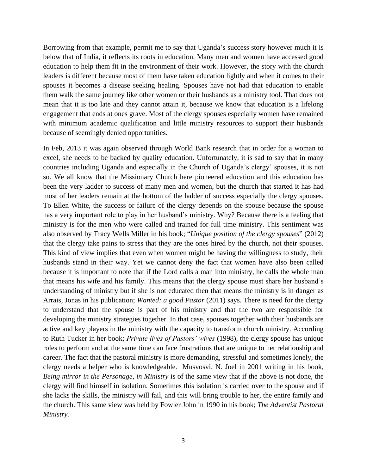Borrowing from that example, permit me to say that Uganda's success story however much it is below that of India, it reflects its roots in education. Many men and women have accessed good education to help them fit in the environment of their work. However, the story with the church leaders is different because most of them have taken education lightly and when it comes to their spouses it becomes a disease seeking healing. Spouses have not had that education to enable them walk the same journey like other women or their husbands as a ministry tool. That does not mean that it is too late and they cannot attain it, because we know that education is a lifelong engagement that ends at ones grave. Most of the clergy spouses especially women have remained with minimum academic qualification and little ministry resources to support their husbands because of seemingly denied opportunities.

In Feb, 2013 it was again observed through World Bank research that in order for a woman to excel, she needs to be backed by quality education. Unfortunately, it is sad to say that in many countries including Uganda and especially in the Church of Uganda's clergy' spouses, it is not so. We all know that the Missionary Church here pioneered education and this education has been the very ladder to success of many men and women, but the church that started it has had most of her leaders remain at the bottom of the ladder of success especially the clergy spouses. To Ellen White, the success or failure of the clergy depends on the spouse because the spouse has a very important role to play in her husband's ministry. Why? Because there is a feeling that ministry is for the men who were called and trained for full time ministry. This sentiment was also observed by Tracy Wells Miller in his book; "*Unique position of the clergy spouses*" (2012) that the clergy take pains to stress that they are the ones hired by the church, not their spouses. This kind of view implies that even when women might be having the willingness to study, their husbands stand in their way. Yet we cannot deny the fact that women have also been called because it is important to note that if the Lord calls a man into ministry, he calls the whole man that means his wife and his family. This means that the clergy spouse must share her husband's understanding of ministry but if she is not educated then that means the ministry is in danger as Arrais, Jonas in his publication; *Wanted: a good Pastor* (2011) says. There is need for the clergy to understand that the spouse is part of his ministry and that the two are responsible for developing the ministry strategies together. In that case, spouses together with their husbands are active and key players in the ministry with the capacity to transform church ministry. According to Ruth Tucker in her book; *Private lives of Pastors' wives* (1998), the clergy spouse has unique roles to perform and at the same time can face frustrations that are unique to her relationship and career. The fact that the pastoral ministry is more demanding, stressful and sometimes lonely, the clergy needs a helper who is knowledgeable. Musvosvi, N. Joel in 2001 writing in his book, *Being mirror in the Personage, in Ministry* is of the same view that if the above is not done, the clergy will find himself in isolation. Sometimes this isolation is carried over to the spouse and if she lacks the skills, the ministry will fail, and this will bring trouble to her, the entire family and the church. This same view was held by Fowler John in 1990 in his book; *The Adventist Pastoral Ministry.*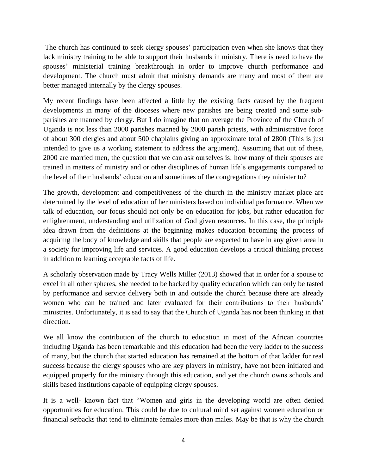The church has continued to seek clergy spouses' participation even when she knows that they lack ministry training to be able to support their husbands in ministry. There is need to have the spouses' ministerial training breakthrough in order to improve church performance and development. The church must admit that ministry demands are many and most of them are better managed internally by the clergy spouses.

My recent findings have been affected a little by the existing facts caused by the frequent developments in many of the dioceses where new parishes are being created and some subparishes are manned by clergy. But I do imagine that on average the Province of the Church of Uganda is not less than 2000 parishes manned by 2000 parish priests, with administrative force of about 300 clergies and about 500 chaplains giving an approximate total of 2800 (This is just intended to give us a working statement to address the argument). Assuming that out of these, 2000 are married men, the question that we can ask ourselves is: how many of their spouses are trained in matters of ministry and or other disciplines of human life's engagements compared to the level of their husbands' education and sometimes of the congregations they minister to?

The growth, development and competitiveness of the church in the ministry market place are determined by the level of education of her ministers based on individual performance. When we talk of education, our focus should not only be on education for jobs, but rather education for enlightenment, understanding and utilization of God given resources. In this case, the principle idea drawn from the definitions at the beginning makes education becoming the process of acquiring the body of knowledge and skills that people are expected to have in any given area in a society for improving life and services. A good education develops a critical thinking process in addition to learning acceptable facts of life.

A scholarly observation made by Tracy Wells Miller (2013) showed that in order for a spouse to excel in all other spheres, she needed to be backed by quality education which can only be tasted by performance and service delivery both in and outside the church because there are already women who can be trained and later evaluated for their contributions to their husbands' ministries. Unfortunately, it is sad to say that the Church of Uganda has not been thinking in that direction.

We all know the contribution of the church to education in most of the African countries including Uganda has been remarkable and this education had been the very ladder to the success of many, but the church that started education has remained at the bottom of that ladder for real success because the clergy spouses who are key players in ministry, have not been initiated and equipped properly for the ministry through this education, and yet the church owns schools and skills based institutions capable of equipping clergy spouses.

It is a well- known fact that "Women and girls in the developing world are often denied opportunities for education. This could be due to cultural mind set against women education or financial setbacks that tend to eliminate females more than males. May be that is why the church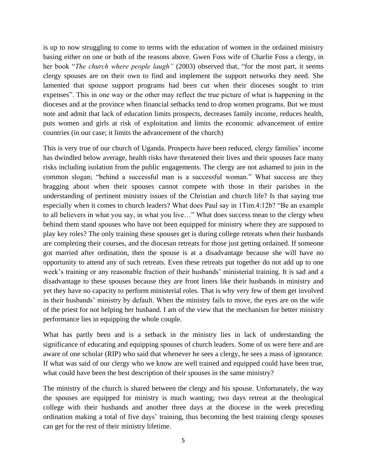is up to now struggling to come to terms with the education of women in the ordained ministry basing either on one or both of the reasons above. Gwen Foss wife of Charlie Foss a clergy, in her book "*The church where people laugh"* (2003) observed that, "for the most part, it seems clergy spouses are on their own to find and implement the support networks they need. She lamented that spouse support programs had been cut when their dioceses sought to trim expenses". This in one way or the other may reflect the true picture of what is happening in the dioceses and at the province when financial setbacks tend to drop women programs. But we must note and admit that lack of education limits prospects, decreases family income, reduces health, puts women and girls at risk of exploitation and limits the economic advancement of entire countries (in our case; it limits the advancement of the church)

This is very true of our church of Uganda. Prospects have been reduced, clergy families' income has dwindled below average, health risks have threatened their lives and their spouses face many risks including isolation from the public engagements. The clergy are not ashamed to join in the common slogan; "behind a successful man is a successful woman." What success are they bragging about when their spouses cannot compete with those in their parishes in the understanding of pertinent ministry issues of the Christian and church life? Is that saying true especially when it comes to church leaders? What does Paul say in 1Tim.4:12b? "Be an example to all believers in what you say, in what you live…" What does success mean to the clergy when behind them stand spouses who have not been equipped for ministry where they are supposed to play key roles? The only training these spouses get is during college retreats when their husbands are completing their courses, and the diocesan retreats for those just getting ordained. If someone got married after ordination, then the spouse is at a disadvantage because she will have no opportunity to attend any of such retreats. Even these retreats put together do not add up to one week's training or any reasonable fraction of their husbands' ministerial training. It is sad and a disadvantage to these spouses because they are front liners like their husbands in ministry and yet they have no capacity to perform ministerial roles. That is why very few of them get involved in their husbands' ministry by default. When the ministry fails to move, the eyes are on the wife of the priest for not helping her husband. I am of the view that the mechanism for better ministry performance lies in equipping the whole couple.

What has partly been and is a setback in the ministry lies in lack of understanding the significance of educating and equipping spouses of church leaders. Some of us were here and are aware of one scholar (RIP) who said that whenever he sees a clergy, he sees a mass of ignorance. If what was said of our clergy who we know are well trained and equipped could have been true, what could have been the best description of their spouses in the same ministry?

The ministry of the church is shared between the clergy and his spouse. Unfortunately, the way the spouses are equipped for ministry is much wanting; two days retreat at the theological college with their husbands and another three days at the diocese in the week preceding ordination making a total of five days' training, thus becoming the best training clergy spouses can get for the rest of their ministry lifetime.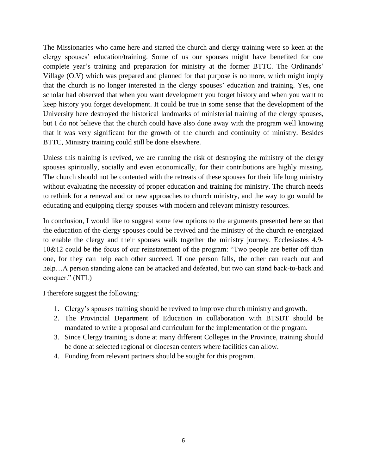The Missionaries who came here and started the church and clergy training were so keen at the clergy spouses' education/training. Some of us our spouses might have benefited for one complete year's training and preparation for ministry at the former BTTC. The Ordinands' Village (O.V) which was prepared and planned for that purpose is no more, which might imply that the church is no longer interested in the clergy spouses' education and training. Yes, one scholar had observed that when you want development you forget history and when you want to keep history you forget development. It could be true in some sense that the development of the University here destroyed the historical landmarks of ministerial training of the clergy spouses, but I do not believe that the church could have also done away with the program well knowing that it was very significant for the growth of the church and continuity of ministry. Besides BTTC, Ministry training could still be done elsewhere.

Unless this training is revived, we are running the risk of destroying the ministry of the clergy spouses spiritually, socially and even economically, for their contributions are highly missing. The church should not be contented with the retreats of these spouses for their life long ministry without evaluating the necessity of proper education and training for ministry. The church needs to rethink for a renewal and or new approaches to church ministry, and the way to go would be educating and equipping clergy spouses with modern and relevant ministry resources.

In conclusion, I would like to suggest some few options to the arguments presented here so that the education of the clergy spouses could be revived and the ministry of the church re-energized to enable the clergy and their spouses walk together the ministry journey. Ecclesiastes 4.9- 10&12 could be the focus of our reinstatement of the program: "Two people are better off than one, for they can help each other succeed. If one person falls, the other can reach out and help... A person standing alone can be attacked and defeated, but two can stand back-to-back and conquer." (NTL)

I therefore suggest the following:

- 1. Clergy's spouses training should be revived to improve church ministry and growth.
- 2. The Provincial Department of Education in collaboration with BTSDT should be mandated to write a proposal and curriculum for the implementation of the program.
- 3. Since Clergy training is done at many different Colleges in the Province, training should be done at selected regional or diocesan centers where facilities can allow.
- 4. Funding from relevant partners should be sought for this program.